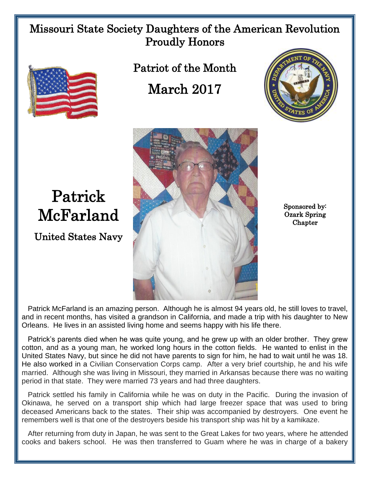## Missouri State Society Daughters of the American Revolution Proudly Honors



Patrick

McFarland

United States Navy

Patriot of the Month March 2017





Sponsored by: Ozark Spring Chapter

 Patrick McFarland is an amazing person. Although he is almost 94 years old, he still loves to travel, and in recent months, has visited a grandson in California, and made a trip with his daughter to New Orleans. He lives in an assisted living home and seems happy with his life there.

 Patrick's parents died when he was quite young, and he grew up with an older brother. They grew cotton, and as a young man, he worked long hours in the cotton fields. He wanted to enlist in the United States Navy, but since he did not have parents to sign for him, he had to wait until he was 18. He also worked in a Civilian Conservation Corps camp. After a very brief courtship, he and his wife married. Although she was living in Missouri, they married in Arkansas because there was no waiting period in that state. They were married 73 years and had three daughters.

 Patrick settled his family in California while he was on duty in the Pacific. During the invasion of Okinawa, he served on a transport ship which had large freezer space that was used to bring deceased Americans back to the states. Their ship was accompanied by destroyers. One event he remembers well is that one of the destroyers beside his transport ship was hit by a kamikaze.

 After returning from duty in Japan, he was sent to the Great Lakes for two years, where he attended cooks and bakers school. He was then transferred to Guam where he was in charge of a bakery